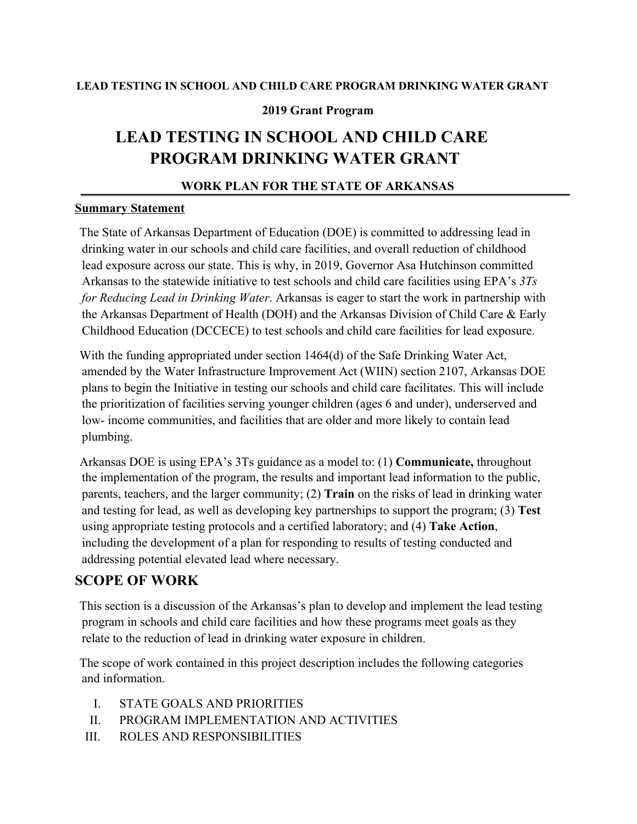#### **LEAD TESTING IN SCHOOL AND CHILD CARE PROGRAM DRINKING WATER GRANT**

#### **2019 Grant Program**

# **LEAD TESTING IN SCHOOL AND CHILD CARE PROGRAM DRINKING WATER GRANT**

#### **WORK PLAN FOR THE STATE OF ARKANSAS**

#### **Summary Statement**

The State of Arkansas Department of Education (DOE) is committed to addressing lead in drinking water in our schools and child care facilities, and overall reduction of childhood lead exposure across our state. This is why, in 2019, Governor Asa Hutchinson committed Arkansas to the statewide initiative to test schools and child care facilities using EPA's *3Ts for Reducing Lead in Drinking Water*. Arkansas is eager to start the work in partnership with the Arkansas Department of Health (DOH) and the Arkansas Division of Child Care & Early Childhood Education (DCCECE) to test schools and child care facilities for lead exposure.

With the funding appropriated under section 1464(d) of the Safe Drinking Water Act, amended by the Water Infrastructure Improvement Act (WIIN) section 2107, Arkansas DOE plans to begin the Initiative in testing our schools and child care facilitates. This will include the prioritization of facilities serving younger children (ages 6 and under), underserved and low- income communities, and facilities that are older and more likely to contain lead plumbing.

Arkansas DOE is using EPA's 3Ts guidance as a model to: (1) **Communicate,** throughout the implementation of the program, the results and important lead information to the public, parents, teachers, and the larger community; (2) **Train** on the risks of lead in drinking water and testing for lead, as well as developing key partnerships to support the program; (3) **Test** using appropriate testing protocols and a certified laboratory; and (4) **Take Action**, including the development of a plan for responding to results of testing conducted and addressing potential elevated lead where necessary.

## **SCOPE OF WORK**

This section is a discussion of the Arkansas's plan to develop and implement the lead testing program in schools and child care facilities and how these programs meet goals as they relate to the reduction of lead in drinking water exposure in children.

The scope of work contained in this project description includes the following categories and information.

- I. STATE GOALS AND PRIORITIES
- II. PROGRAM IMPLEMENTATION AND ACTIVITIES
- III. ROLES AND RESPONSIBILITIES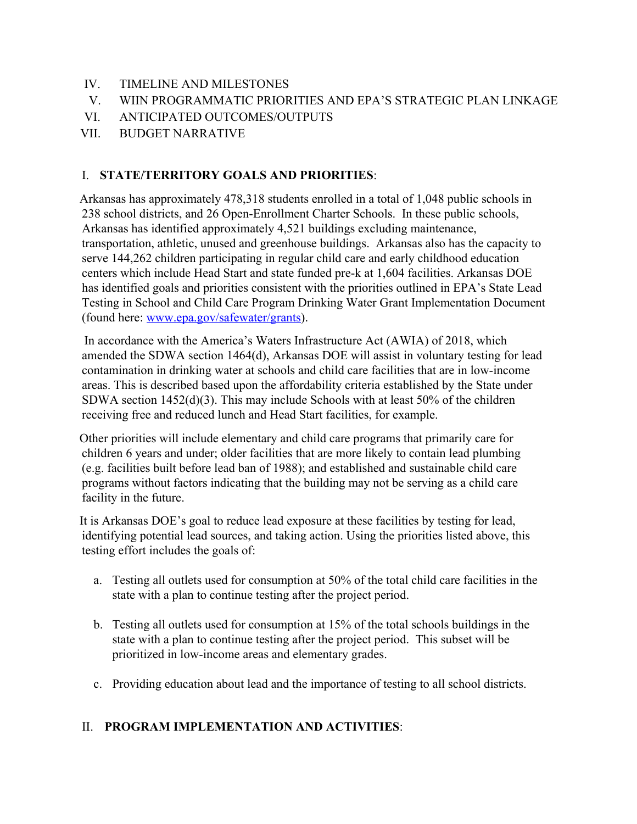- IV. TIMELINE AND MILESTONES
- V. WIIN PROGRAMMATIC PRIORITIES AND EPA'S STRATEGIC PLAN LINKAGE
- VI. ANTICIPATED OUTCOMES/OUTPUTS
- VII. BUDGET NARRATIVE

#### I. **STATE/TERRITORY GOALS AND PRIORITIES**:

Arkansas has approximately 478,318 students enrolled in a total of 1,048 public schools in 238 school districts, and 26 Open-Enrollment Charter Schools. In these public schools, Arkansas has identified approximately 4,521 buildings excluding maintenance, transportation, athletic, unused and greenhouse buildings. Arkansas also has the capacity to serve 144,262 children participating in regular child care and early childhood education centers which include Head Start and state funded pre-k at 1,604 facilities. Arkansas DOE has identified goals and priorities consistent with the priorities outlined in EPA's State Lead Testing in School and Child Care Program Drinking Water Grant Implementation Document (found here: [www.epa.gov/safewater/grants\)](http://www.epa.gov/safewater/grants).

In accordance with the America's Waters Infrastructure Act (AWIA) of 2018, which amended the SDWA section 1464(d), Arkansas DOE will assist in voluntary testing for lead contamination in drinking water at schools and child care facilities that are in low-income areas. This is described based upon the affordability criteria established by the State under SDWA section 1452(d)(3). This may include Schools with at least 50% of the children receiving free and reduced lunch and Head Start facilities, for example.

Other priorities will include elementary and child care programs that primarily care for children 6 years and under; older facilities that are more likely to contain lead plumbing (e.g. facilities built before lead ban of 1988); and established and sustainable child care programs without factors indicating that the building may not be serving as a child care facility in the future.

It is Arkansas DOE's goal to reduce lead exposure at these facilities by testing for lead, identifying potential lead sources, and taking action. Using the priorities listed above, this testing effort includes the goals of:

- a. Testing all outlets used for consumption at 50% of the total child care facilities in the state with a plan to continue testing after the project period.
- b. Testing all outlets used for consumption at 15% of the total schools buildings in the state with a plan to continue testing after the project period. This subset will be prioritized in low-income areas and elementary grades.
- c. Providing education about lead and the importance of testing to all school districts.

## II. **PROGRAM IMPLEMENTATION AND ACTIVITIES**: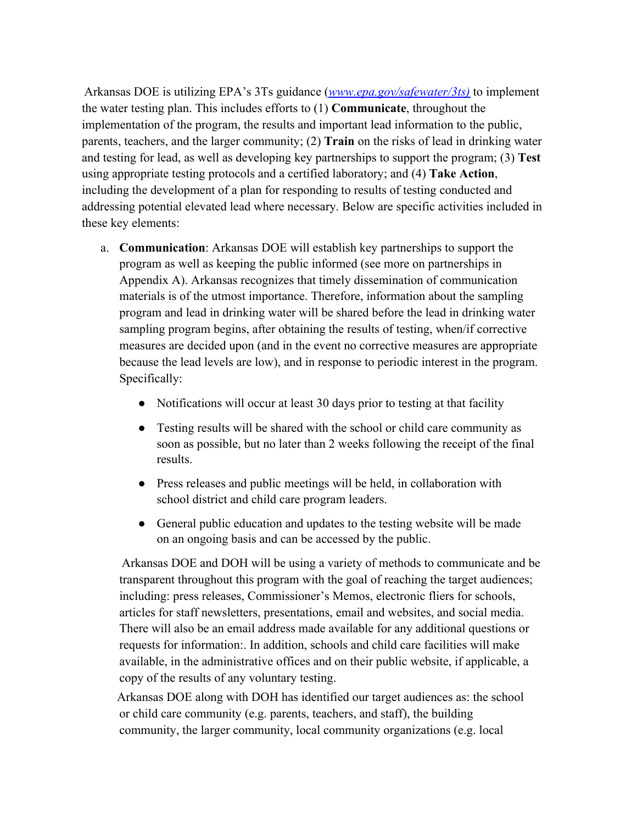Arkansas DOE is utilizing EPA's 3Ts guidance (*[www.epa.gov/safewater/3ts\)](http://www.epa.gov/safewater/3ts)* [t](http://www.epa.gov/safewater/3ts)o implement the water testing plan. This includes efforts to (1) **Communicate**, throughout the implementation of the program, the results and important lead information to the public, parents, teachers, and the larger community; (2) **Train** on the risks of lead in drinking water and testing for lead, as well as developing key partnerships to support the program; (3) **Test** using appropriate testing protocols and a certified laboratory; and (4) **Take Action**, including the development of a plan for responding to results of testing conducted and addressing potential elevated lead where necessary. Below are specific activities included in these key elements:

- a. **Communication**: Arkansas DOE will establish key partnerships to support the program as well as keeping the public informed (see more on partnerships in Appendix A). Arkansas recognizes that timely dissemination of communication materials is of the utmost importance. Therefore, information about the sampling program and lead in drinking water will be shared before the lead in drinking water sampling program begins, after obtaining the results of testing, when/if corrective measures are decided upon (and in the event no corrective measures are appropriate because the lead levels are low), and in response to periodic interest in the program. Specifically:
	- Notifications will occur at least 30 days prior to testing at that facility
	- Testing results will be shared with the school or child care community as soon as possible, but no later than 2 weeks following the receipt of the final results.
	- Press releases and public meetings will be held, in collaboration with school district and child care program leaders.
	- General public education and updates to the testing website will be made on an ongoing basis and can be accessed by the public.

Arkansas DOE and DOH will be using a variety of methods to communicate and be transparent throughout this program with the goal of reaching the target audiences; including: press releases, Commissioner's Memos, electronic fliers for schools, articles for staff newsletters, presentations, email and websites, and social media. There will also be an email address made available for any additional questions or requests for information:. In addition, schools and child care facilities will make available, in the administrative offices and on their public website, if applicable, a copy of the results of any voluntary testing.

Arkansas DOE along with DOH has identified our target audiences as: the school or child care community (e.g. parents, teachers, and staff), the building community, the larger community, local community organizations (e.g. local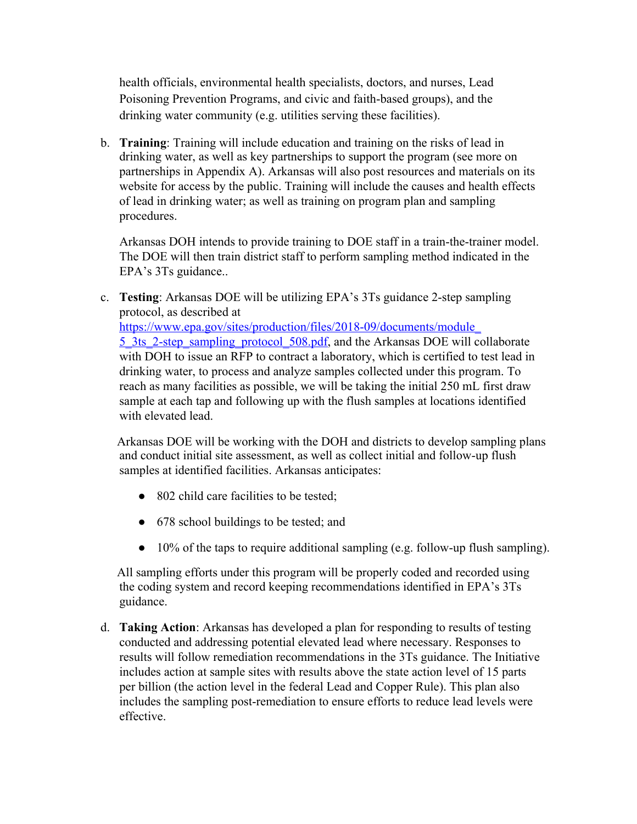health officials, environmental health specialists, doctors, and nurses, Lead Poisoning Prevention Programs, and civic and faith-based groups), and the drinking water community (e.g. utilities serving these facilities).

b. **Training**: Training will include education and training on the risks of lead in drinking water, as well as key partnerships to support the program (see more on partnerships in Appendix A). Arkansas will also post resources and materials on its website for access by the public. Training will include the causes and health effects of lead in drinking water; as well as training on program plan and sampling procedures.

Arkansas DOH intends to provide training to DOE staff in a train-the-trainer model. The DOE will then train district staff to perform sampling method indicated in the EPA's 3Ts guidance..

c. **Testing**: Arkansas DOE will be utilizing EPA's 3Ts guidance 2-step sampling protocol, as described at [https://www.epa.gov/sites/production/files/2018-09/documents/module\\_](https://www.epa.gov/sites/production/files/2018-09/documents/module_5_3ts_2-step_sampling_protocol_508.pdf) 5. 3ts. 2-step\_sampling\_protocol\_508.pdf, and the Arkansas DOE will collaborate with DOH to issue an RFP to contract a laboratory, which is certified to test lead in drinking water, to process and analyze samples collected under this program. To reach as many facilities as possible, we will be taking the initial 250 mL first draw sample at each tap and following up with the flush samples at locations identified with elevated lead.

Arkansas DOE will be working with the DOH and districts to develop sampling plans and conduct initial site assessment, as well as collect initial and follow-up flush samples at identified facilities. Arkansas anticipates:

- 802 child care facilities to be tested;
- 678 school buildings to be tested; and
- 10% of the taps to require additional sampling (e.g. follow-up flush sampling).

All sampling efforts under this program will be properly coded and recorded using the coding system and record keeping recommendations identified in EPA's 3Ts guidance.

d. **Taking Action**: Arkansas has developed a plan for responding to results of testing conducted and addressing potential elevated lead where necessary. Responses to results will follow remediation recommendations in the 3Ts guidance. The Initiative includes action at sample sites with results above the state action level of 15 parts per billion (the action level in the federal Lead and Copper Rule). This plan also includes the sampling post-remediation to ensure efforts to reduce lead levels were effective.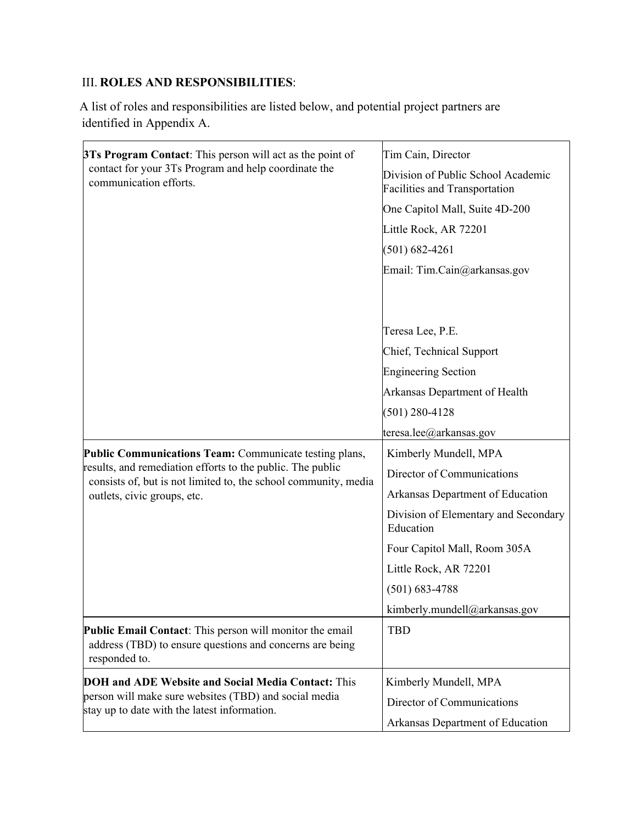# III. **ROLES AND RESPONSIBILITIES**:

A list of roles and responsibilities are listed below, and potential project partners are identified in Appendix A.

| <b>3Ts Program Contact:</b> This person will act as the point of                                                                                             | Tim Cain, Director                                                         |  |
|--------------------------------------------------------------------------------------------------------------------------------------------------------------|----------------------------------------------------------------------------|--|
| contact for your 3Ts Program and help coordinate the<br>communication efforts.                                                                               | Division of Public School Academic<br><b>Facilities and Transportation</b> |  |
|                                                                                                                                                              | One Capitol Mall, Suite 4D-200                                             |  |
|                                                                                                                                                              | Little Rock, AR 72201                                                      |  |
|                                                                                                                                                              | $(501) 682 - 4261$                                                         |  |
|                                                                                                                                                              | Email: Tim.Cain@arkansas.gov                                               |  |
|                                                                                                                                                              |                                                                            |  |
|                                                                                                                                                              |                                                                            |  |
|                                                                                                                                                              | Teresa Lee, P.E.                                                           |  |
|                                                                                                                                                              | Chief, Technical Support                                                   |  |
|                                                                                                                                                              | <b>Engineering Section</b>                                                 |  |
|                                                                                                                                                              | Arkansas Department of Health                                              |  |
|                                                                                                                                                              | $(501)$ 280-4128                                                           |  |
|                                                                                                                                                              | teresa.lee@arkansas.gov                                                    |  |
| Public Communications Team: Communicate testing plans,                                                                                                       | Kimberly Mundell, MPA                                                      |  |
| results, and remediation efforts to the public. The public<br>consists of, but is not limited to, the school community, media<br>outlets, civic groups, etc. | Director of Communications                                                 |  |
|                                                                                                                                                              | Arkansas Department of Education                                           |  |
|                                                                                                                                                              | Division of Elementary and Secondary<br>Education                          |  |
|                                                                                                                                                              | Four Capitol Mall, Room 305A                                               |  |
|                                                                                                                                                              | Little Rock, AR 72201                                                      |  |
|                                                                                                                                                              | $(501) 683 - 4788$                                                         |  |
|                                                                                                                                                              | kimberly.mundell@arkansas.gov                                              |  |
| <b>Public Email Contact:</b> This person will monitor the email<br>address (TBD) to ensure questions and concerns are being<br>responded to.                 | <b>TBD</b>                                                                 |  |
| <b>DOH and ADE Website and Social Media Contact: This</b>                                                                                                    | Kimberly Mundell, MPA                                                      |  |
| person will make sure websites (TBD) and social media<br>stay up to date with the latest information.                                                        | Director of Communications                                                 |  |
|                                                                                                                                                              | Arkansas Department of Education                                           |  |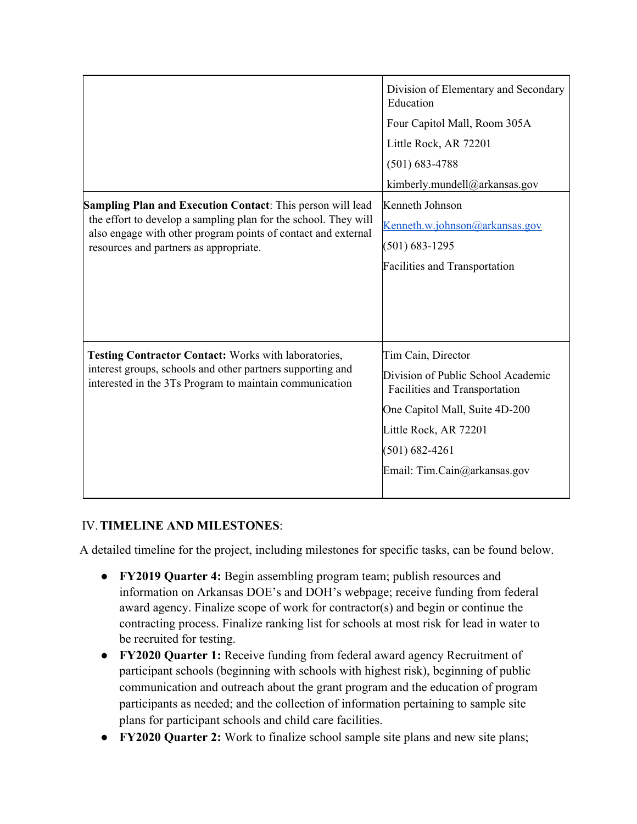| <b>Sampling Plan and Execution Contact:</b> This person will lead                                                                                                                    | Division of Elementary and Secondary<br>Education<br>Four Capitol Mall, Room 305A<br>Little Rock, AR 72201<br>$(501) 683 - 4788$<br>kimberly.mundell@arkansas.gov<br>Kenneth Johnson                       |
|--------------------------------------------------------------------------------------------------------------------------------------------------------------------------------------|------------------------------------------------------------------------------------------------------------------------------------------------------------------------------------------------------------|
| the effort to develop a sampling plan for the school. They will<br>also engage with other program points of contact and external<br>resources and partners as appropriate.           | Kenneth.w.johnson@arkansas.gov<br>$(501) 683 - 1295$<br><b>Facilities and Transportation</b>                                                                                                               |
| <b>Testing Contractor Contact: Works with laboratories,</b><br>interest groups, schools and other partners supporting and<br>interested in the 3Ts Program to maintain communication | Tim Cain, Director<br>Division of Public School Academic<br>Facilities and Transportation<br>One Capitol Mall, Suite 4D-200<br>Little Rock, AR 72201<br>$(501) 682 - 4261$<br>Email: Tim.Cain@arkansas.gov |

## IV.**TIMELINE AND MILESTONES**:

A detailed timeline for the project, including milestones for specific tasks, can be found below.

- **FY2019 Quarter 4:** Begin assembling program team; publish resources and information on Arkansas DOE's and DOH's webpage; receive funding from federal award agency. Finalize scope of work for contractor(s) and begin or continue the contracting process. Finalize ranking list for schools at most risk for lead in water to be recruited for testing.
- **FY2020 Quarter 1:** Receive funding from federal award agency Recruitment of participant schools (beginning with schools with highest risk), beginning of public communication and outreach about the grant program and the education of program participants as needed; and the collection of information pertaining to sample site plans for participant schools and child care facilities.
- **FY2020 Quarter 2:** Work to finalize school sample site plans and new site plans;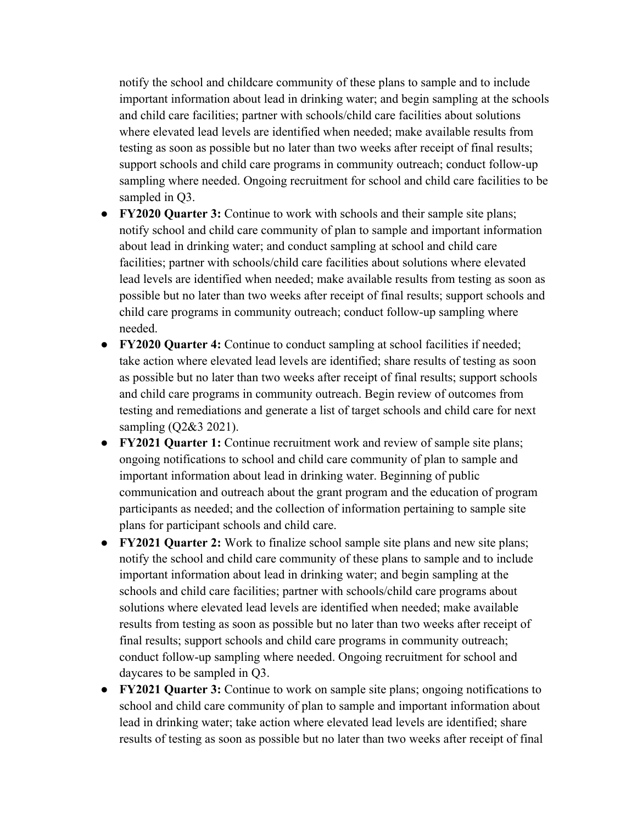notify the school and childcare community of these plans to sample and to include important information about lead in drinking water; and begin sampling at the schools and child care facilities; partner with schools/child care facilities about solutions where elevated lead levels are identified when needed; make available results from testing as soon as possible but no later than two weeks after receipt of final results; support schools and child care programs in community outreach; conduct follow-up sampling where needed. Ongoing recruitment for school and child care facilities to be sampled in Q3.

- **FY2020 Quarter 3:** Continue to work with schools and their sample site plans; notify school and child care community of plan to sample and important information about lead in drinking water; and conduct sampling at school and child care facilities; partner with schools/child care facilities about solutions where elevated lead levels are identified when needed; make available results from testing as soon as possible but no later than two weeks after receipt of final results; support schools and child care programs in community outreach; conduct follow-up sampling where needed.
- **FY2020 Quarter 4:** Continue to conduct sampling at school facilities if needed; take action where elevated lead levels are identified; share results of testing as soon as possible but no later than two weeks after receipt of final results; support schools and child care programs in community outreach. Begin review of outcomes from testing and remediations and generate a list of target schools and child care for next sampling (Q2&3 2021).
- **FY2021 Quarter 1:** Continue recruitment work and review of sample site plans; ongoing notifications to school and child care community of plan to sample and important information about lead in drinking water. Beginning of public communication and outreach about the grant program and the education of program participants as needed; and the collection of information pertaining to sample site plans for participant schools and child care.
- **FY2021 Quarter 2:** Work to finalize school sample site plans and new site plans; notify the school and child care community of these plans to sample and to include important information about lead in drinking water; and begin sampling at the schools and child care facilities; partner with schools/child care programs about solutions where elevated lead levels are identified when needed; make available results from testing as soon as possible but no later than two weeks after receipt of final results; support schools and child care programs in community outreach; conduct follow-up sampling where needed. Ongoing recruitment for school and daycares to be sampled in Q3.
- **FY2021 Quarter 3:** Continue to work on sample site plans; ongoing notifications to school and child care community of plan to sample and important information about lead in drinking water; take action where elevated lead levels are identified; share results of testing as soon as possible but no later than two weeks after receipt of final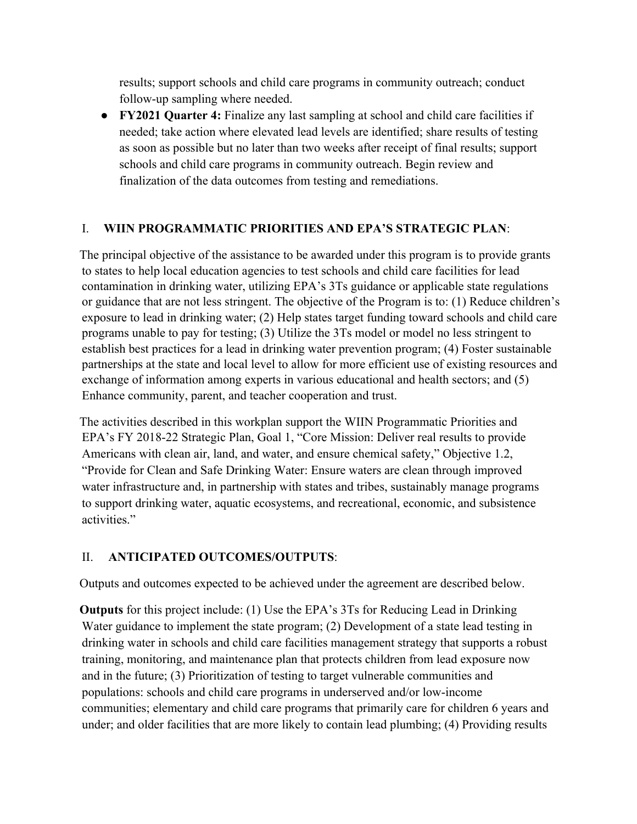results; support schools and child care programs in community outreach; conduct follow-up sampling where needed.

● **FY2021 Quarter 4:** Finalize any last sampling at school and child care facilities if needed; take action where elevated lead levels are identified; share results of testing as soon as possible but no later than two weeks after receipt of final results; support schools and child care programs in community outreach. Begin review and finalization of the data outcomes from testing and remediations.

## I. **WIIN PROGRAMMATIC PRIORITIES AND EPA'S STRATEGIC PLAN**:

The principal objective of the assistance to be awarded under this program is to provide grants to states to help local education agencies to test schools and child care facilities for lead contamination in drinking water, utilizing EPA's 3Ts guidance or applicable state regulations or guidance that are not less stringent. The objective of the Program is to: (1) Reduce children's exposure to lead in drinking water; (2) Help states target funding toward schools and child care programs unable to pay for testing; (3) Utilize the 3Ts model or model no less stringent to establish best practices for a lead in drinking water prevention program; (4) Foster sustainable partnerships at the state and local level to allow for more efficient use of existing resources and exchange of information among experts in various educational and health sectors; and (5) Enhance community, parent, and teacher cooperation and trust.

The activities described in this workplan support the WIIN Programmatic Priorities and EPA's FY 2018-22 Strategic Plan, Goal 1, "Core Mission: Deliver real results to provide Americans with clean air, land, and water, and ensure chemical safety," Objective 1.2, "Provide for Clean and Safe Drinking Water: Ensure waters are clean through improved water infrastructure and, in partnership with states and tribes, sustainably manage programs to support drinking water, aquatic ecosystems, and recreational, economic, and subsistence activities."

## II. **ANTICIPATED OUTCOMES/OUTPUTS**:

Outputs and outcomes expected to be achieved under the agreement are described below.

**Outputs** for this project include: (1) Use the EPA's 3Ts for Reducing Lead in Drinking Water guidance to implement the state program; (2) Development of a state lead testing in drinking water in schools and child care facilities management strategy that supports a robust training, monitoring, and maintenance plan that protects children from lead exposure now and in the future; (3) Prioritization of testing to target vulnerable communities and populations: schools and child care programs in underserved and/or low-income communities; elementary and child care programs that primarily care for children 6 years and under; and older facilities that are more likely to contain lead plumbing; (4) Providing results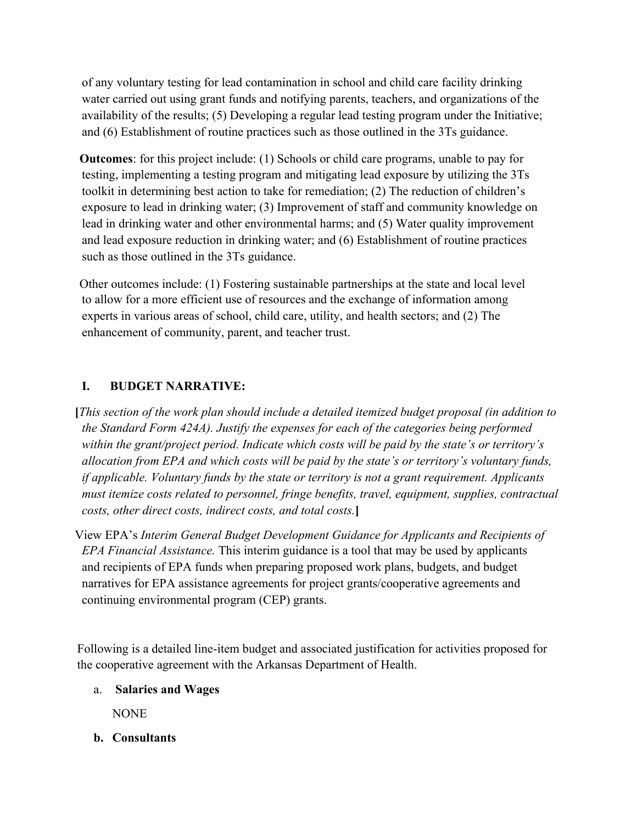of any voluntary testing for lead contamination in school and child care facility drinking water carried out using grant funds and notifying parents, teachers, and organizations of the availability of the results; (5) Developing a regular lead testing program under the Initiative; and (6) Establishment of routine practices such as those outlined in the 3Ts guidance.

**Outcomes**: for this project include: (1) Schools or child care programs, unable to pay for testing, implementing a testing program and mitigating lead exposure by utilizing the 3Ts toolkit in determining best action to take for remediation; (2) The reduction of children's exposure to lead in drinking water; (3) Improvement of staff and community knowledge on lead in drinking water and other environmental harms; and (5) Water quality improvement and lead exposure reduction in drinking water; and (6) Establishment of routine practices such as those outlined in the 3Ts guidance.

Other outcomes include: (1) Fostering sustainable partnerships at the state and local level to allow for a more efficient use of resources and the exchange of information among experts in various areas of school, child care, utility, and health sectors; and (2) The enhancement of community, parent, and teacher trust.

## **I. BUDGET NARRATIVE:**

**[***This section of the work plan should include a detailed itemized budget proposal (in addition to the Standard Form 424A). Justify the expenses for each of the categories being performed within the grant/project period. Indicate which costs will be paid by the state's or territory's allocation from EPA and which costs will be paid by the state's or territory's voluntary funds, if applicable. Voluntary funds by the state or territory is not a grant requirement. Applicants must itemize costs related to personnel, fringe benefits, travel, equipment, supplies, contractual costs, other direct costs, indirect costs, and total costs.***]**

View EPA's *Interim General Budget Development Guidance for Applicants and Recipients of EPA Financial Assistance.* This interim guidance is a tool that may be used by applicants and recipients of EPA funds when preparing proposed work plans, budgets, and budget narratives for EPA assistance agreements for project grants/cooperative agreements and continuing environmental program (CEP) grants.

Following is a detailed line-item budget and associated justification for activities proposed for the cooperative agreement with the Arkansas Department of Health.

a. **Salaries and Wages**

NONE

**b. Consultants**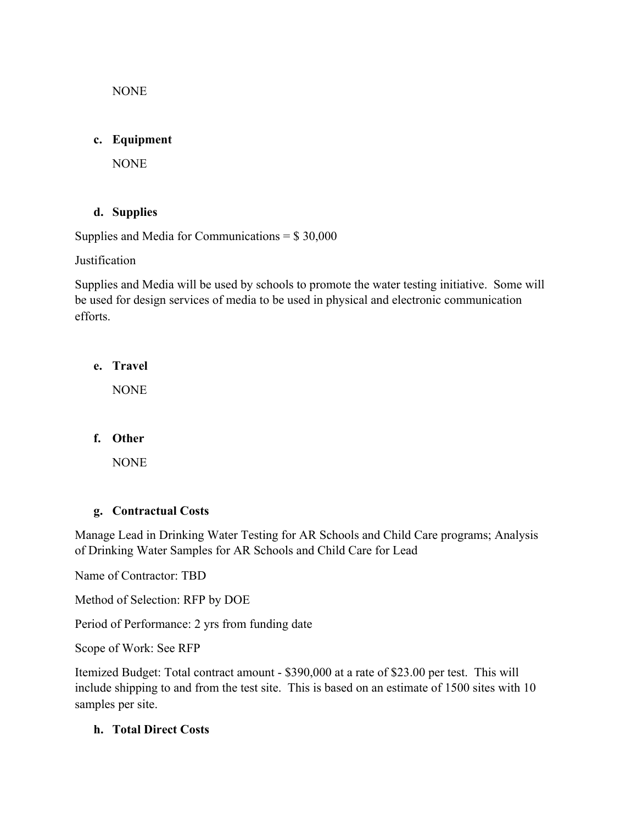NONE

#### **c. Equipment**

NONE

## **d. Supplies**

Supplies and Media for Communications  $=$  \$ 30,000

**Justification** 

Supplies and Media will be used by schools to promote the water testing initiative. Some will be used for design services of media to be used in physical and electronic communication efforts.

**e. Travel**

NONE

**f. Other**

NONE

## **g. Contractual Costs**

Manage Lead in Drinking Water Testing for AR Schools and Child Care programs; Analysis of Drinking Water Samples for AR Schools and Child Care for Lead

Name of Contractor: TBD

Method of Selection: RFP by DOE

Period of Performance: 2 yrs from funding date

Scope of Work: See RFP

Itemized Budget: Total contract amount - \$390,000 at a rate of \$23.00 per test. This will include shipping to and from the test site. This is based on an estimate of 1500 sites with 10 samples per site.

## **h. Total Direct Costs**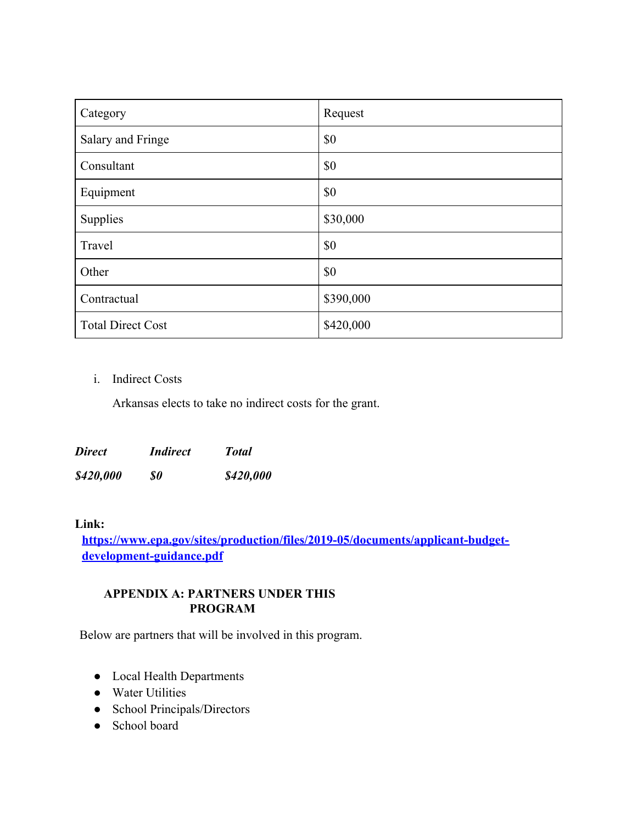| Category                 | Request   |
|--------------------------|-----------|
| Salary and Fringe        | \$0       |
| Consultant               | \$0       |
| Equipment                | \$0       |
| Supplies                 | \$30,000  |
| Travel                   | \$0       |
| Other                    | \$0       |
| Contractual              | \$390,000 |
| <b>Total Direct Cost</b> | \$420,000 |

#### i. Indirect Costs

Arkansas elects to take no indirect costs for the grant.

| <b>Direct</b> | <i>Indirect</i> | <b>Total</b> |
|---------------|-----------------|--------------|
| \$420,000     | SO              | \$420,000    |

#### **Link:**

**[https://www.epa.gov/sites/production/files/2019-05/documents/applicant-budget](https://www.epa.gov/sites/production/files/2019-05/documents/applicant-budget-development-guidance.pdf)[development-guidance.pdf](https://www.epa.gov/sites/production/files/2019-05/documents/applicant-budget-development-guidance.pdf)**

#### **APPENDIX A: PARTNERS UNDER THIS PROGRAM**

Below are partners that will be involved in this program.

- Local Health Departments
- Water Utilities
- School Principals/Directors
- School board